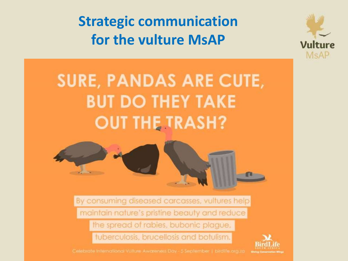**Strategic communication** for the vulture MsAP



# **SURE, PANDAS ARE CUTE, BUT DO THEY TAKE OUT THE TRASH?**



By consuming diseased carcasses, vultures help maintain nature's pristine beauty and reduce the spread of rabies, bubonic plague,

tuberculosis, brucellosis and botulism.

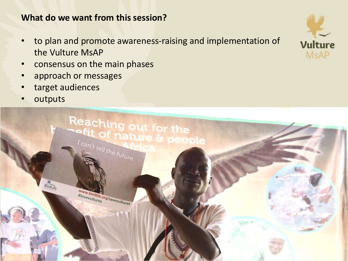# **What do we want from this session?**

- to plan and promote awareness-raising and implementation of the Vulture MsAP
- consensus on the main phases
- approach or messages
- target audiences
- **outputs**



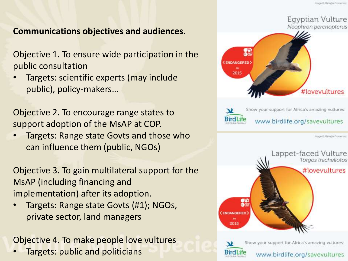# **Communications objectives and audiences**.

Objective 1. To ensure wide participation in the public consultation

• Targets: scientific experts (may include public), policy-makers…

Objective 2. To encourage range states to support adoption of the MsAP at COP.

• Targets: Range state Govts and those who can influence them (public, NGOs)

Objective 3. To gain multilateral support for the MsAP (including financing and implementation) after its adoption.

• Targets: Range state Govts (#1); NGOs, private sector, land managers

Objective 4. To make people love vultures

• Targets: public and politicians





www.birdlife.org/savevultures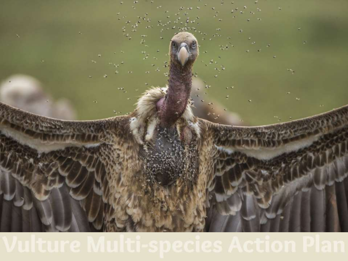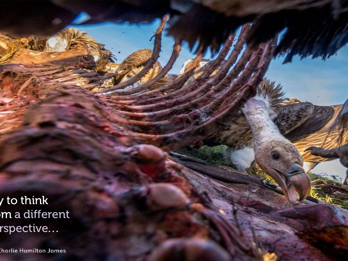$\sqrt{}$  to think  $\overline{\mathsf{m}}$  a different  $\mathsf{rspective}$  . .

harlie Hamilton James: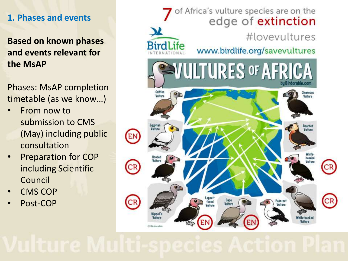# **1. Phases and events**

**Based on known phases and events relevant for the MsAP**

Phases: MsAP completion timetable (as we know…)

- From now to submission to CMS (May) including public consultation
- Preparation for COP including Scientific Council
- CMS COP
- Post-COP

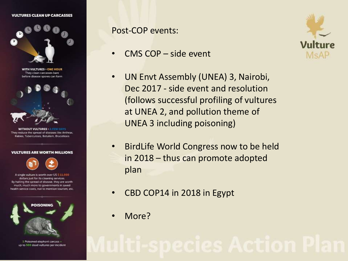### **VULTURES CLEAN UP CARCASSES**



**WITH VULTURES > ONE HOUR** They clean carcasses bare before disease spores can form



**WITHOUT VULTURES > A FET** They reduce the spread of diseases like Anthrax. Rabies, Tuberculosis, Botulism, Brucellosis



A single vulture is worth over US \$ 11,000 dollars just for its cleaning services. By halting the spread of disease, they are worth much, much more to governments in saved health service costs, not to mention tourism, etc.



4 Poisoned elephant carcass = up to 500 dead vultures per incident Post-COP events:

- CMS COP side event
- UN Envt Assembly (UNEA) 3, Nairobi, Dec 2017 - side event and resolution (follows successful profiling of vultures at UNEA 2, and pollution theme of UNEA 3 including poisoning)
- BirdLife World Congress now to be held in 2018 – thus can promote adopted plan
- CBD COP14 in 2018 in Egypt
- More?

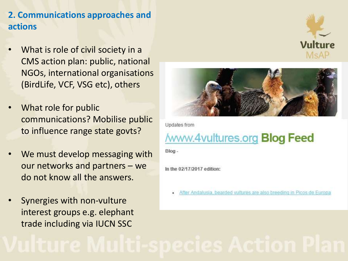# **2. Communications approaches and actions**

- What is role of civil society in a CMS action plan: public, national NGOs, international organisations (BirdLife, VCF, VSG etc), others
- What role for public communications? Mobilise public to influence range state govts?
- We must develop messaging with our networks and partners – we do not know all the answers.
- Synergies with non-vulture interest groups e.g. elephant trade including via IUCN SSC



Updates from

# **/www.4vultures.org Blog Feed**

Blog-

In the 02/17/2017 edition:

After Andalusia, bearded vultures are also breeding in Picos de Europa

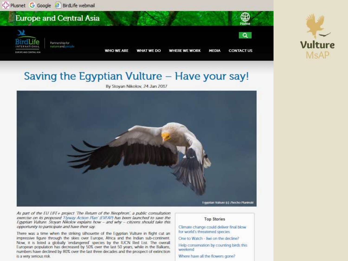

Egyptian Vulture (c) //twcho Planinski

As part of the EU LIFE+ project 'The Return of the Neophron', a public consultation exercise on its proposed Tlyway Action Plan' (EVFAP) has been launched to save the Egyptian Vulture. Stoyan Nikolov explains how - and why - citizens should take this opportunity to participate and have their say.

There was a time when the striking silhouette of the Egyptian Vulture in flight cut an impressive figure through the skies over Europe. Africa and the Indian sub-continent. Now, it is listed a globally 'endangered' species by the IUCN Red List. The overall European population has decreased by 50% over the last 50 years, while in the Balkans, numbers have declined by 80% over the last three decades and the prospect of extinction is a very serious risk.

### **Top Stories**

Climate change could deliver final blow for world's threatened species.

One to Watch - liwi on the decline?

Help conservation by counting birds this weekend

Where have all the flowers gone?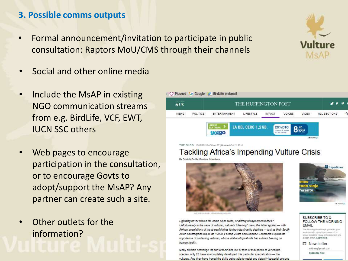# **3. Possible comms outputs**

- Formal announcement/invitation to participate in public consultation: Raptors MoU/CMS through their channels
- Social and other online media
- Include the MsAP in existing NGO communication streams from e.g. BirdLife, VCF, EWT, IUCN SSC others



- Web pages to encourage participation in the consultation, or to encourage Govts to adopt/support the MsAP? Any partner can create such a site.
- Other outlets for the information?

THE BLOG 10/12/2015 04:30 pm ET ( Updated Oct 12, 2016

### Tackling Africa's Impending Vulture Crisis

By Patriola Zurita, Bradnee Chamber

human health



Lightning never strikes the same place twice, or history always repeats itself?

Unfortunately in the case of vultures, nature's "clean-up" crew, the latter applies - with

Asian counterparts did in the 1990s. Patricia Zurita and Bradnee Chambers explain the

importance of protecting vultures, whose vital ecological role has a direct bearing on

Many animals scavenge for part of their diet, but of tens of thousands of vertebrate

species, only 23 have so completely developed this particular specialization - the vultures. And they have honed the skills being able to resist and detoxify bacterial poisons

African populations of these useful birds facing catastrophic declines - just as their South



**SUBSCRIBE TO & FOLLOW THE MORNING EMAIL** 

The Morning Email helps you start you workday with everything you need to know; breaking news, entertainment and a dash of fur. Learn more

⊠ Newsletter

address@email.com **Bubcoribe Now** 

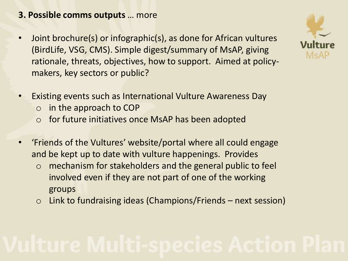# **3. Possible comms outputs** … more

- Joint brochure(s) or infographic(s), as done for African vultures (BirdLife, VSG, CMS). Simple digest/summary of MsAP, giving rationale, threats, objectives, how to support. Aimed at policymakers, key sectors or public?
- Existing events such as International Vulture Awareness Day
	- $\circ$  in the approach to COP
	- o for future initiatives once MsAP has been adopted
- 'Friends of the Vultures' website/portal where all could engage and be kept up to date with vulture happenings. Provides
	- o mechanism for stakeholders and the general public to feel involved even if they are not part of one of the working groups
	- $\circ$  Link to fundraising ideas (Champions/Friends next session)

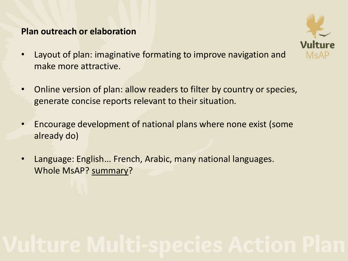### **Plan outreach or elaboration**



- Layout of plan: imaginative formating to improve navigation and make more attractive.
- Online version of plan: allow readers to filter by country or species, generate concise reports relevant to their situation.
- Encourage development of national plans where none exist (some already do)
- Language: English... French, Arabic, many national languages. Whole MsAP? summary?